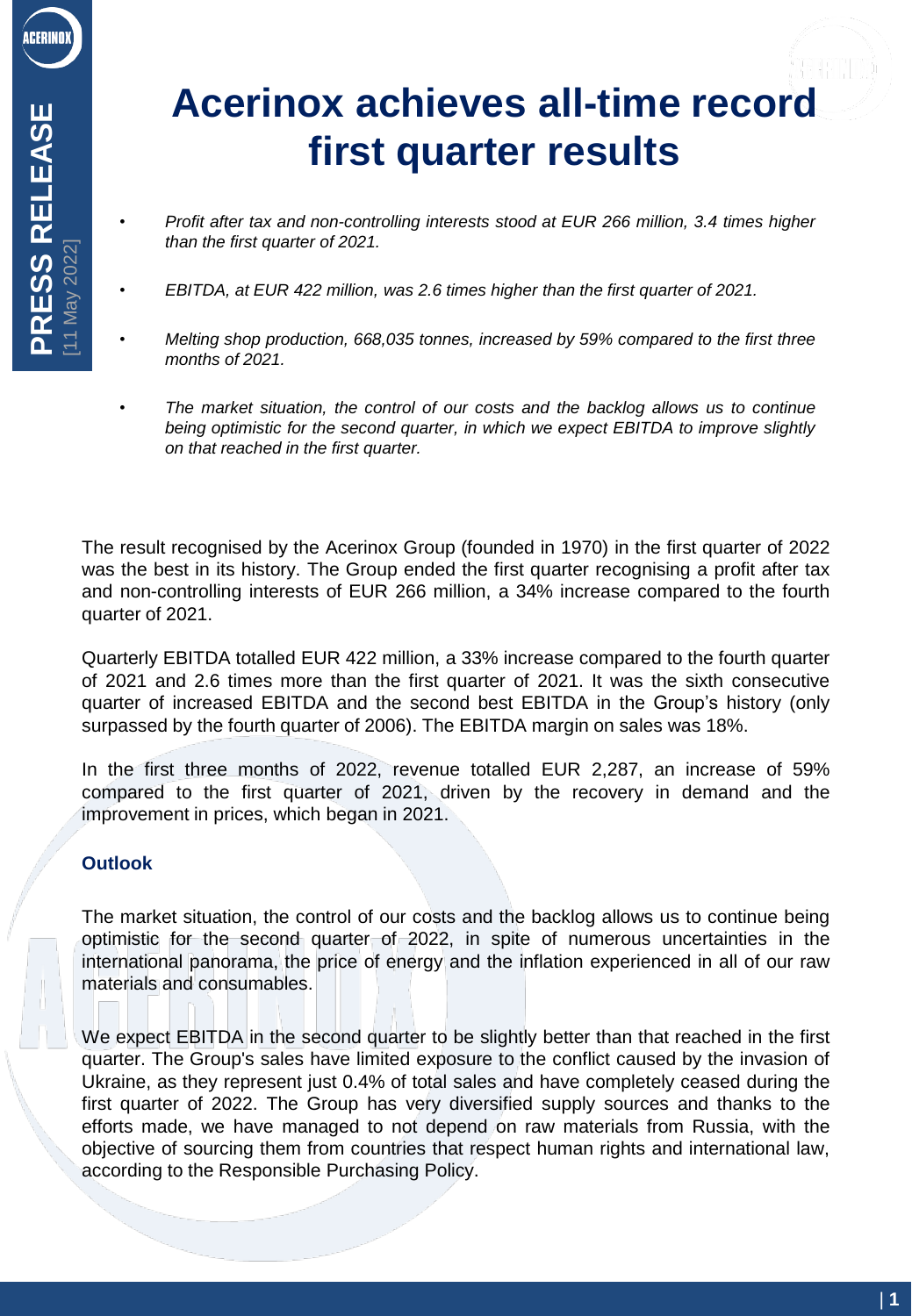# **Acerinox achieves all-time record first quarter results**

- *Profit after tax and non-controlling interests stood at EUR 266 million, 3.4 times higher than the first quarter of 2021.*
- *EBITDA, at EUR 422 million, was 2.6 times higher than the first quarter of 2021.*
- *Melting shop production, 668,035 tonnes, increased by 59% compared to the first three months of 2021.*
- *The market situation, the control of our costs and the backlog allows us to continue being optimistic for the second quarter, in which we expect EBITDA to improve slightly on that reached in the first quarter.*

The result recognised by the Acerinox Group (founded in 1970) in the first quarter of 2022 was the best in its history. The Group ended the first quarter recognising a profit after tax and non-controlling interests of EUR 266 million, a 34% increase compared to the fourth quarter of 2021.

Quarterly EBITDA totalled EUR 422 million, a 33% increase compared to the fourth quarter of 2021 and 2.6 times more than the first quarter of 2021. It was the sixth consecutive quarter of increased EBITDA and the second best EBITDA in the Group's history (only surpassed by the fourth quarter of 2006). The EBITDA margin on sales was 18%.

In the first three months of 2022, revenue totalled EUR 2,287, an increase of 59% compared to the first quarter of 2021, driven by the recovery in demand and the improvement in prices, which began in 2021.

# **Outlook**

The market situation, the control of our costs and the backlog allows us to continue being optimistic for the second quarter of 2022, in spite of numerous uncertainties in the international panorama, the price of energy and the inflation experienced in all of our raw materials and consumables.

We expect EBITDA in the second quarter to be slightly better than that reached in the first quarter. The Group's sales have limited exposure to the conflict caused by the invasion of Ukraine, as they represent just 0.4% of total sales and have completely ceased during the first quarter of 2022. The Group has very diversified supply sources and thanks to the efforts made, we have managed to not depend on raw materials from Russia, with the objective of sourcing them from countries that respect human rights and international law, according to the Responsible Purchasing Policy.